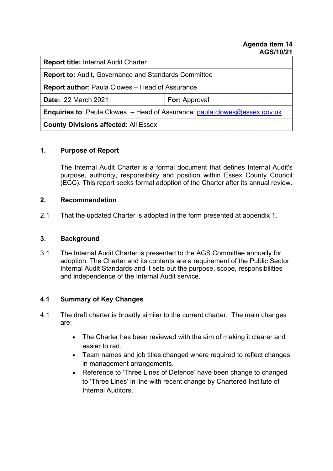**Report title:** Internal Audit Charter

**Report to:** Audit, Governance and Standards Committee

**Report author**: Paula Clowes – Head of Assurance

**Date:** 22 March 2021 **For:** Approval

**Enquiries to:** Paula Clowes – Head of Assurance [paula.clowes@essex.gov.uk](mailto:paula.clowes@essex.gov.uk)

**County Divisions affected**: All Essex

### **1. Purpose of Report**

The Internal Audit Charter is a formal document that defines Internal Audit's purpose, authority, responsibility and position within Essex County Council (ECC). This report seeks formal adoption of the Charter after its annual review.

### **2. Recommendation**

2.1 That the updated Charter is adopted in the form presented at appendix 1.

## **3. Background**

3.1 The Internal Audit Charter is presented to the AGS Committee annually for adoption. The Charter and its contents are a requirement of the Public Sector Internal Audit Standards and it sets out the purpose, scope, responsibilities and independence of the Internal Audit service.

# **4.1 Summary of Key Changes**

- 4.1 The draft charter is broadly similar to the current charter. The main changes are:
	- The Charter has been reviewed with the aim of making it clearer and easier to rad.
	- Team names and job titles changed where required to reflect changes in management arrangements.
	- Reference to 'Three Lines of Defence' have been change to changed to 'Three Lines' in line with recent change by Chartered Institute of Internal Auditors.